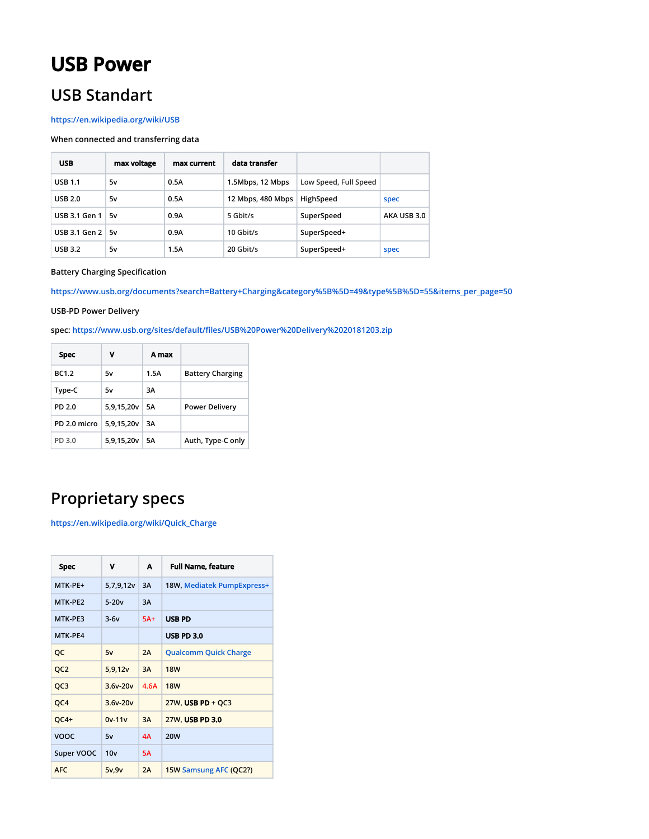# **USB Power**

# **USB Standart**

## **<https://en.wikipedia.org/wiki/USB>**

## **When connected and transferring data**

| <b>USB</b>              | max voltage | max current | data transfer     |                       |             |
|-------------------------|-------------|-------------|-------------------|-----------------------|-------------|
| <b>USB 1.1</b>          | 5v          | 0.5A        | 1.5Mbps, 12 Mbps  | Low Speed, Full Speed |             |
| <b>USB 2.0</b>          | 5v          | 0.5A        | 12 Mbps, 480 Mbps | HighSpeed             | spec        |
| USB 3.1 Gen $1 \mid 5v$ |             | 0.9A        | 5 Gbit/s          | SuperSpeed            | AKA USB 3.0 |
| USB 3.1 Gen $2 \mid 5v$ |             | 0.9A        | 10 Gbit/s         | SuperSpeed+           |             |
| <b>USB 3.2</b>          | 5۷          | 1.5A        | 20 Gbit/s         | SuperSpeed+           | spec        |

#### **Battery Charging Specification**

**[https://www.usb.org/documents?search=Battery+Charging&category%5B%5D=49&type%5B%5D=55&items\\_per\\_page=50](https://www.usb.org/documents?search=Battery+Charging&category%5B%5D=49&type%5B%5D=55&items_per_page=50)**

#### **USB-PD Power Delivery**

**spec:<https://www.usb.org/sites/default/files/USB%20Power%20Delivery%2020181203.zip>**

| <b>Spec</b>  | v          | A max |                         |
|--------------|------------|-------|-------------------------|
| BC1.2        | 5v         | 1.5A  | <b>Battery Charging</b> |
| Type-C       | 5v         | 3A    |                         |
| PD 2.0       | 5,9,15,20v | 5Α    | <b>Power Delivery</b>   |
| PD 2.0 micro | 5,9,15,20v | ЗΑ    |                         |
| PD 3.0       | 5,9,15,20v | 5Α    | Auth, Type-C only       |

# **Proprietary specs**

**[https://en.wikipedia.org/wiki/Quick\\_Charge](https://en.wikipedia.org/wiki/Quick_Charge)**

| Spec            | v          | A     | <b>Full Name, feature</b>    |
|-----------------|------------|-------|------------------------------|
| $MTK-PF+$       | 5,7,9,12v  | 3A    | 18W, Mediatek PumpExpress+   |
| MTK-PF2         | $5-20v$    | 3A    |                              |
| MTK-PE3         | $3-6v$     | $5A+$ | <b>USB PD</b>                |
| MTK-PE4         |            |       | <b>USB PD 3.0</b>            |
| QC              | 5v         | 2A    | <b>Qualcomm Quick Charge</b> |
| QC <sub>2</sub> | 5,9,12v    | 3A    | <b>18W</b>                   |
| QC3             | $3.6v-20v$ | 4.6A  | <b>18W</b>                   |
| QC4             | $3.6v-20v$ |       | $27W$ , USB PD + QC3         |
| $QC4+$          | $0v-11v$   | 3A    | 27W, USB PD 3.0              |
| <b>VOOC</b>     | 5v         | 4A    | <b>20W</b>                   |
| Super VOOC      | 10v        | 5A    |                              |
| <b>AFC</b>      | 5v,9v      | 2A    | 15W Samsung AFC (QC2?)       |